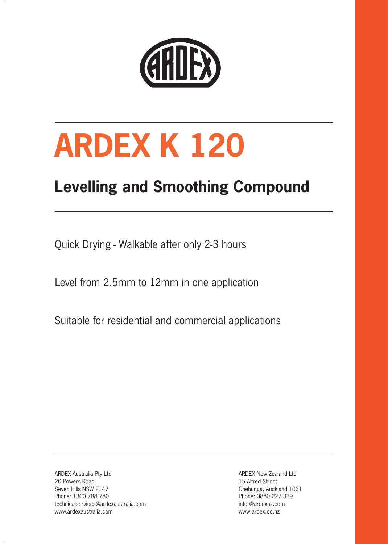

# **ARDEX K 120**

# **Levelling and Smoothing Compound**

Quick Drying - Walkable after only 2-3 hours

Level from 2.5mm to 12mm in one application

Suitable for residential and commercial applications

ARDEX Australia Pty Ltd 20 Powers Road Seven Hills NSW 2147 Phone: 1300 788 780 technicalservices@ardexaustralia.com www.ardexaustralia.com

ARDEX New Zealand Ltd 15 Alfred Street Onehunga, Auckland 1061 Phone: 0880 227 339 infor@ardexnz.com www.ardex.co.nz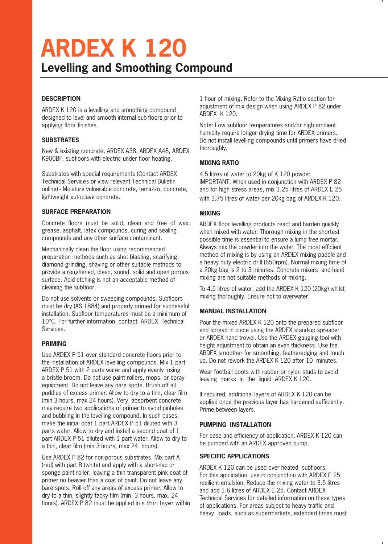# **ARDEX K 120 Levelling and Smoothing Compound**

#### **DESCRIPTION**

ARDEX K 120 is a levelling and smoothing compound designed to level and smooth internal sub-floors prior to applying floor finishes.

#### **SUBSTRATES**

New & existing concrete, ARDEX A38, ARDEX A48, ARDEX K900BF, subfloors with electric under floor heating.

Substrates with special requirements (Contact ARDEX Technical Services or view relevant Technical Bulletin online) - Moisture vulnerable concrete, terrazzo, concrete, lightweight autoclave concrete.

#### **SURFACE PREPARATION**

Concrete floors must be solid, clean and free of wax, grease, asphalt, latex compounds, curing and sealing compounds and any other surface contaminant.

Mechanically clean the floor using recommended preparation methods such as shot blasting, scarifying, diamond grinding, shaving or other suitable methods to provide a roughened, clean, sound, solid and open porous surface. Acid etching is not an acceptable method of cleaning the subfloor.

Do not use solvents or sweeping compounds. Subfloors must be dry (AS 1884) and properly primed for successful installation. Subfloor temperatures must be a minimum of 10°C. For further information, contact ARDEX Technical Services.

#### **PRIMING**

Use ARDEX P 51 over standard concrete floors prior to the installation of ARDEX levelling compounds. Mix 1 part ARDEX P 51 with 2 parts water and apply evenly using a bristle broom. Do not use paint rollers, mops, or spray equipment. Do not leave any bare spots. Brush off all puddles of excess primer. Allow to dry to a thin, clear film (min 3 hours, max 24 hours). Very absorbent concrete may require two applications of primer to avoid pinholes and bubbling in the levelling compound. In such cases, make the initial coat 1 part ARDEX P 51 diluted with 3 parts water. Allow to dry and install a second coat of 1 part ARDEX P 51 diluted with 1 part water. Allow to dry to a thin, clear film (min 3 hours, max 24 hours).

Use ARDEX P 82 for non-porous substrates. Mix part A (red) with part B (white) and apply with a short-nap or sponge paint roller, leaving a thin transparent pink coat of primer no heavier than a coat of paint. Do not leave any bare spots. Roll off any areas of excess primer. Allow to dry to a thin, slightly tacky film (min. 3 hours, max. 24 hours). ARDEX P 82 must be applied in a thin layer within

1 hour of mixing. Refer to the Mixing Ratio section for adjustment of mix design when using ARDEX P 82 under ARDEX K 120.

Note: Low subfloor temperatures and/or high ambient humidity require longer drying time for ARDEX primers. Do not install levelling compounds until primers have dried thoroughly.

#### **MIXING RATIO**

4.5 litres of water to 20kg of K 120 powder. IMPORTANT: When used in conjunction with ARDEX P 82 and for high stress areas, mix 1.25 litres of ARDEX E 25 with 3.75 litres of water per 20kg bag of ARDEX K 120.

#### **MIXING**

ARDEX floor levelling products react and harden quickly when mixed with water. Thorough mixing in the shortest possible time is essential to ensure a lump free mortar. Always mix the powder into the water. The most efficient method of mixing is by using an ARDEX mixing paddle and a heavy duty electric drill (650rpm). Normal mixing time of a 20kg bag is 2 to 3 minutes. Concrete mixers and hand mixing are not suitable methods of mixing.

To 4.5 litres of water, add the ARDEX K 120 (20kg) whilst mixing thoroughly. Ensure not to overwater.

#### **MANUAL INSTALLATION**

Pour the mixed ARDEX K 120 onto the prepared subfloor and spread in place using the ARDEX stand-up spreader or ARDEX hand trowel. Use the ARDEX gauging tool with height adjustment to obtain an even thickness. Use the ARDEX smoother for smoothing, featheredging and touch up. Do not rework the ARDEX K 120 after 10 minutes.

Wear football boots with rubber or nylon studs to avoid leaving marks in the liquid ARDEX K 120.

If required, additional layers of ARDEX K 120 can be applied once the previous layer has hardened sufficiently. Prime between layers.

#### **PUMPING INSTALLATION**

For ease and efficiency of application, ARDEX K 120 can be pumped with an ARDEX approved pump.

#### **SPECIFIC APPLICATIONS**

ARDEX K 120 can be used over heated subfloors. For this application, use in conjunction with ARDEX E 25 resilient emulsion. Reduce the mixing water to 3.5 litres and add 1.6 litres of ARDEX E 25. Contact ARDEX Technical Services for detailed information on these types of applications. For areas subject to heavy traffic and heavy loads, such as supermarkets, extended times must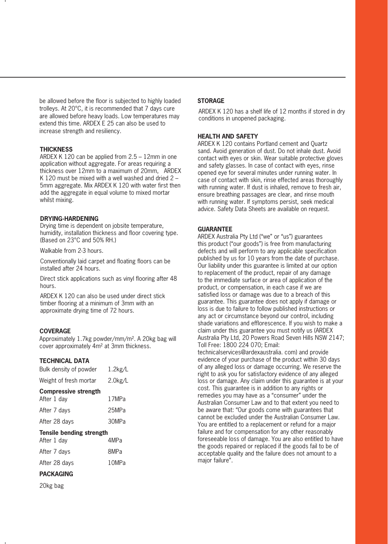be allowed before the floor is subjected to highly loaded trolleys. At 20°C, it is recommended that 7 days cure are allowed before heavy loads. Low temperatures may extend this time. ARDEX E 25 can also be used to increase strength and resiliency.

## **THICKNESS**

ARDEX K 120 can be applied from 2.5 – 12mm in one application without aggregate. For areas requiring a thickness over 12mm to a maximum of 20mm, ARDEX K 120 must be mixed with a well washed and dried 2 – 5mm aggregate. Mix ARDEX K 120 with water first then add the aggregate in equal volume to mixed mortar whilst mixing.

## **DRYING-HARDENING**

Drying time is dependent on jobsite temperature, humidity, installation thickness and floor covering type. (Based on 23°C and 50% RH.)

Walkable from 2-3 hours.

Conventionally laid carpet and floating floors can be installed after 24 hours.

Direct stick applications such as vinyl flooring after 48 hours.

ARDEX K 120 can also be used under direct stick timber flooring at a minimum of 3mm with an approximate drying time of 72 hours.

## **COVERAGE**

Approximately 1.7kg powder/mm/m². A 20kg bag will cover approximately 4m² at 3mm thickness.

## **TECHNICAL DATA**

| Bulk density of powder                     | $1.2$ kg/L |
|--------------------------------------------|------------|
| Weight of fresh mortar                     | 2.0kg/L    |
| <b>Compressive strength</b><br>After 1 day | 17MPa      |
| After 7 days                               | 25MPa      |
| After 28 days                              | 30MPa      |
| <b>Tensile bending strength</b>            |            |
| After 1 day                                | 4MPa       |
| After 7 days                               | 8MPa       |
| After 28 days                              | 10MPa      |
| <b>PACKAGING</b>                           |            |

20kg bag

#### **STORAGE**

ARDEX K 120 has a shelf life of 12 months if stored in dry conditions in unopened packaging.

#### **HEALTH AND SAFETY**

ARDEX K 120 contains Portland cement and Quartz sand. Avoid generation of dust. Do not inhale dust. Avoid contact with eyes or skin. Wear suitable protective gloves and safety glasses. In case of contact with eyes, rinse opened eye for several minutes under running water. In case of contact with skin, rinse effected areas thoroughly with running water. If dust is inhaled, remove to fresh air, ensure breathing passages are clear, and rinse mouth with running water. If symptoms persist, seek medical advice. Safety Data Sheets are available on request.

#### **GUARANTEE**

ARDEX Australia Pty Ltd ("we" or "us") guarantees this product ("our goods") is free from manufacturing defects and will perform to any applicable specification published by us for 10 years from the date of purchase. Our liability under this guarantee is limited at our option to replacement of the product, repair of any damage to the immediate surface or area of application of the product, or compensation, in each case if we are satisfied loss or damage was due to a breach of this guarantee. This guarantee does not apply if damage or loss is due to failure to follow published instructions or any act or circumstance beyond our control, including shade variations and efflorescence. If you wish to make a claim under this guarantee you must notify us (ARDEX Australia Pty Ltd, 20 Powers Road Seven Hills NSW 2147; Toll Free: 1800 224 070; Email:

technicalservices@ardexaustralia. com) and provide evidence of your purchase of the product within 30 days of any alleged loss or damage occurring. We reserve the right to ask you for satisfactory evidence of any alleged loss or damage. Any claim under this guarantee is at your cost. This guarantee is in addition to any rights or remedies you may have as a "consumer" under the Australian Consumer Law and to that extent you need to be aware that: "Our goods come with guarantees that cannot be excluded under the Australian Consumer Law. You are entitled to a replacement or refund for a major failure and for compensation for any other reasonably foreseeable loss of damage. You are also entitled to have the goods repaired or replaced if the goods fail to be of acceptable quality and the failure does not amount to a major failure".